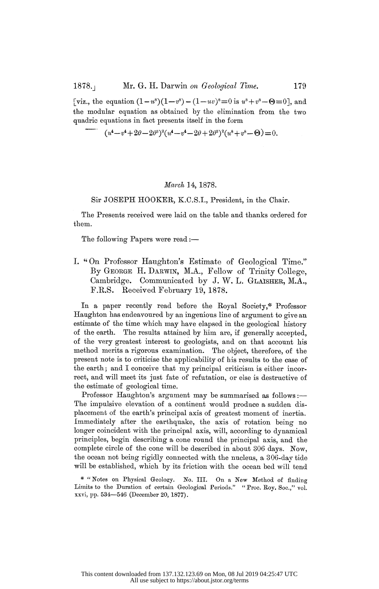[viz., the equation  $(1-u^8)(1-v^8) - (1-uv)^8 = 0$  is  $u^8 + v^8 - \Theta = 0$ ], and the modular equation as obtained by the elimination from the two quadric equations in fact presents itself in the form

$$
(u4-v4+2\theta-2\theta3)2(u4-v4-2\theta+2\theta3)2(u3+v3-\Theta)=0.
$$

## $\mathbf{m}$ were reading  $\mathbf{m}$

Sir JOSEPH HOOKER, K.C.S.I., President, in the Chair.

The Presents received were laid on the table and thanks ordered for  $b = b$   $b = 1$ . The  $b = 1$  data is the Trinity College,  $c = 1$  denotes the Trinity College,  $c = 1$ 

The following Papers were read :-

In a paper recently recently recently recently recently recently recently recently recently recently recently recently recently recently recently recently recently recently recently recently recently recently recently rec  $\mathbf{H}$  and  $\mathbf{H}$  are  $\mathbf{H}$  and  $\mathbf{H}$  are  $\mathbf{H}$  and  $\mathbf{H}$  are an integral to  $\mathbf{H}$ By GEORGE H. DARWIN, M.A., Fellow of Trinity College, Cambridge. Communicated by J. W. L. GLAISHER, M.A., F.R.S. Received February 19, 1878.

 method merits a rigorous examination. The object, therefore, of the In a paper recently read before the noyal Society, rootes Haughton has endeavoured by an ingenious line of argument to give an estimate of the time which may have elapsed in the geological history of the earth. The results attained by him are, if generally accepted, of the very greatest interest to geologists, and on that account his method merits a rigorous examination. The object, therefore, of the present note is to criticise the applicability of his results to the case of the earth; and I conceive that my principal criticism is either incorrect, and will meet its just fate of refutation, or else is destructive of the estimate of geological time. principles a cone round the principal axis, and the principal axis, and the principal axis, and the principal axis, and the principal axis, and the principal axis, and the principal axis, and the principal axis, and the pr

complete circle of the cone will be designed in about 306 days. Note that we can also described in about 306 days. Now, and the contract of the contract of the contract of the contract of the contract of the contract of th The impulsive elevation of a continent would produce a sudden displacement of the earth's principal axis of greatest moment of inertia.<br>Immediately after the earthquake, the axis of rotation being no longer coincident with the principal axis, will, according to dynamical  $\sum_{i=1}^{\infty}$   $\sum_{i=1}^{\infty}$  begins describing a cone round the principal  $\sum_{i=1}^{\infty}$  and  $\sum_{i=1}^{\infty}$ principios, sogni acserting the ocean not being rigidly connected with the nucleus, a 306-day tide will be established, which by its friction with the ocean bed will tend

<sup>\* &</sup>quot;Notes on Physical Geology. No. III. On a New Method of finding Limits to the Duration of certain Geological Periods." "Proc. Roy. Soc.," vol. xxvi, pp. 534-546 (December 20, 1877).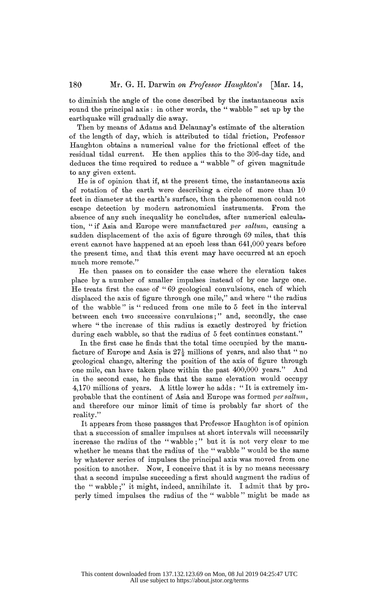to diminish the angle of the cone described by the instantaneous axis round the principal axis: in other words, the "wabble" set up by the earthquake will gradually die away.

Then by means of Adams and Delaunay's estimate of the alteration of the length of day, which is attributed to tidal friction, Professor Haughton obtains a numerical value for the frictional effect of the residual tidal current. He then applies this to the 306-day tide, and estatute diameters. The modern approx and to do the 500 as absences the sine required to reduce a mussic or given to any given extent.<br>He is of opinion that if, at the present time, the instantaneous axis

of rotation of the earth were describing a circle of more than  $10$ feet in diameter at the earth's surface, then the phenomenon could not the present time, and the present may have one of the present may have one of the angle of the angle of the set of the set of the set of the set of the set of the set of the set of the set of the set of the set of the set escape de absence of any such inequality he concludes, after numerical calculation, "if Asia and Europe were manufactured *per saltum*, causing a sudden displacement of the axis of figure through  $69$  miles, that this event cannot have happened at an epoch less than  $641,000$  years before  $\alpha$  displaced the axis of  $\alpha$  figure through  $\alpha$  and  $\alpha$  through  $\alpha$  the radius  $\alpha$ the present time, and that this event may have occurred a between two successive convulsions;  $\mathbf{H}_{\text{max}}$  and, secondly, the case of conventions; the case of case  $\mathbf{H}_{\text{max}}$ 

me then passes on to consider the case where the elevation vakes place by a number of smaller impulses instead of by one large one. He treats first the case of " $69$  geological convulsions, each of which displaced the axis of figure through one mile," and where " the radius of the wabble" is "reduced from one mile to 5 feet in the interval between each two successive convulsions;" and, secondly, the case where "the increase of this radius is exactly destroyed by friction during each wabble, so that the radius of 5 feet continues constant."

In the first case he finds that the total time occupied by the manufacture of Europe and Asia is  $27\frac{1}{2}$  millions of years, and also that "no geological change, altering the position of the axis of figure through one mile, can have taken place within the past  $400,000$  years." And in the second case, he finds that the same elevation would occupy  $4,170$  millions of years. A little lower he adds: "It is extremely improbable that the continent of Asia and Europe was formed per saltum, and therefore our minor limit of time is probably far short of the reality." position to another to another to another it is by no means necessary it is by no means necessary in the inter-

It appears from these passages that Professor Haughton is of opinion that a succession of smaller impulses at short intervals will necessarily increase the radius of the "wabble;" but it is not very clear to me<br>whether he means that the radius of the "wabble" would be the same by whatever series of impulses the principal axis was moved from one position to another. Now, I conceive that it is by no means necessary that a second impulse succeeding a first should augment the radius of the "wabble;" it might, indeed, annihilate it. I admit that by properly timed impulses the radius of the "wabble" might be made as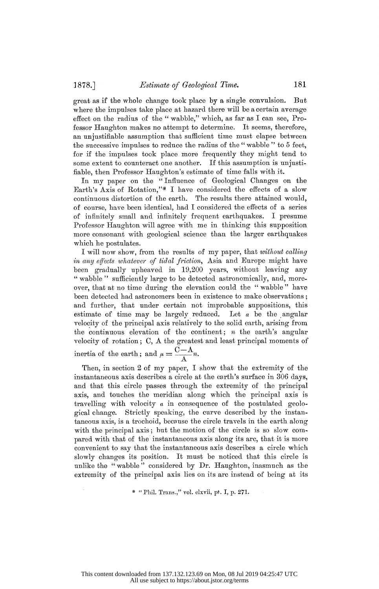great as if the whole change took place by a single convulsion. But where the impulses take place at hazard there will be a certain average effect on the radius of the "wabble," which, as far as I can see, Professor Haughton makes no attempt to determine. It seems, therefore, an unjustifiable assumption that sufficient time must elapse between the successive impulses to reduce the radius of the "wabble" to 5 feet, for if the impulses took place more frequently they might tend to some extent to counteract one another. If this assumption is unjustifiable, then Professor Haughton's estimate of time falls with it.

In my paper on the "Influence of Geological Changes on the Earth's Axis of Rotation,"\* I have considered the effects of a slow continuous distortion of the earth. The results there attained would, of course, have been identical, had I considered the effects of a series of infinitely small and infinitely frequent earthquakes. I presume Professor Haughton will agree with me in thinking this supposition  $\frac{1}{2}$  was conserved to be detected as the suppose that the detected as the detected as the detection of  $\frac{1}{2}$ which he nottileted

which he postulates.<br>I will now show, from the results of my paper, that *without calling* in any effects whatever of tidal friction, Asia and Europe might have been gradually upheaved in  $19,200$  years, without leaving any " wabble " sufficiently large to be detected astronomically, and, moreover, that at no time during the elevation could the "wabble" have been detected had astronomers been in existence to make observations; and further, that under certain not improbable suppositions, this estimate of time may be largely reduced. Let  $a$  be the angular estimate of time may be largely reduced. Let  $a$  be the angular velocity of the principal axis relatively to the solid earth, arising from the continuous elevation of the continent;  $n$  the earth's angular velocity of rotation; C, A the greatest and least principal moments of  $\alpha$  and touches the meridian along which the principal axis is isomorphic. inertia of the earth; and  $\mu = \frac{1}{\Lambda}n$ .

> Then, in section 2 of my paper, I show that the extremity of the instantaneous axis describes a circle at the earth's surface in  $306 \text{ days}$ , and that this circle passes through the extremity of the principal axis, and touches the meridian along which the principal axis is travelling with velocity  $\alpha$  in consequence of the postulated geological change. Strictly speaking, the curve described by the instantaneous axis, is a trochoid, because the circle travels in the earth along with the principal axis; but the motion of the circle is so slow compared with that of the instantaneous axis along its arc, that it is more convenient to say that the instantaneous axis describes a circle which slowly changes its position. It must be noticed that this circle is unlike the "wabble" considered by Dr. Haughton, inasmuch as the extremity of the principal axis lies on its arc instead of being at its

<sup>\* &</sup>quot;Phil. Trans.," vol. clxvii, pt. I, p. 271.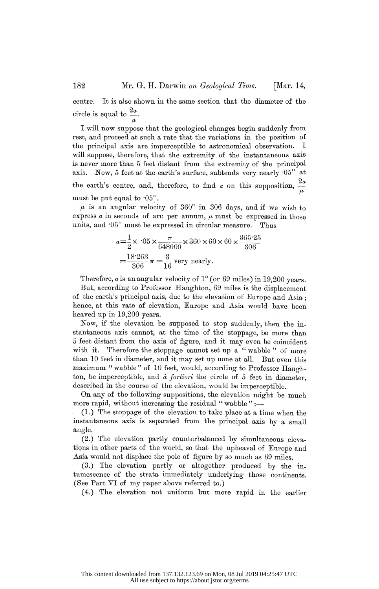control It is also shown in the same section that the diameter of the with suppose that the extreme that the extreme that the unamelect of the country. The is also shown in the same second that the unamelect of the circle is equal to  $\frac{2a}{\cdots}$ 

> I will now suppose that the geological changes begin suddenly from rest, and proceed at such a rate that the variations in the position of the principal axis are imperceptible to astronomical observation. 1 will suppose, therefore, that the extremity of the instantaneous axis is never more than 5 feet distant from the extremity of the principal axis. Now, 5 feet at the earth's surface, subtends very nearly  $0.05$ " at Now, 5 feet at the earth's surface, subtends very nearly  $05''$  at as. Trow, o rece at the earth's surface, subtends very hearty of  $\frac{2a}{\mu}$ <br>e earth's centre, and, therefore, to find a on this supposition,  $\frac{2a}{\mu}$

must be put equal to 05".<br> $\mu$  is an angular velocity of 360° in 306 days, and if we wish to express  $\alpha$  in seconds of arc per annum,  $\mu$  must be expressed in those units, and  $0.05$ " must be expressed in circular measure. Thus

$$
a = \frac{1}{2} \times 0.6 \times \frac{\pi}{648000} \times 360 \times 60 \times 60 \times \frac{365.25}{306}
$$
  
=  $\frac{18.263}{306} \pi = \frac{3}{16}$  very nearly.

Therefore  $g$  is an angular velocity of  $1^{\circ}$  (or 69 miles) in 10,000 measure Therefore, a is an angular velocity of  $1^{\circ}$  (or 69 miles) in 19,200 years.<br>But according to Professor Haughton, 69 miles is the displacement

But, according to Professor Haughton, 69 miles is the displacement of the earth's principal axis, due to the elevation of Europe and Asia: hence, at this rate of elevation, Europe and Asia would have been<br>heaved up in 19,200 years. meaved up in 19,200 years.<br>Now if the elevation he supposed to step suddenly than the in

Now, if the elevation be supposed to stop suddenly, then the in-<br>etertaneous axis connot at the time of the steppers, he were the stantaneous axis cannot, at the time of the stoppage, be more than 5 feet distant from the axis of figure, and it may even be coincident<br>with it. Therefore the stoppage cannot set up a "wabble" of more Therefore the stoppage cannot set up a " wabble" of more than 10 feet in diameter, and it may set up none at all. But even this maximum "wabble" of 10 feet, would, according to Professor Haughton, be imperceptible, and  $\dot{a}$  fortiori the circle of 5 feet in diameter, described in the course of the elevation, would be imperceptible.<br>On any of the following suppositions, the elevation might be much

 $t_1 = \frac{1}{2}$  or  $t_2 = \frac{1}{2}$  the upheaval of the upheaval of  $\frac{1}{2}$  and  $\frac{1}{2}$  and  $\frac{1}{2}$  and  $\frac{1}{2}$  and  $\frac{1}{2}$  and  $\frac{1}{2}$  and  $\frac{1}{2}$  and  $\frac{1}{2}$  and  $\frac{1}{2}$  and  $\frac{1}{2}$  and  $\frac{1}{2}$  and  $\frac{$  $\frac{1}{4}$ 

 $(1.)$  The stoppage of the elevation to take place at a time when the instantaneous axis is separated from the principal axis by a small angle.

 $(2.)$  The elevation partly counterbalanced by simultaneous elevations in other parts of the world, so that the upheaval of Europe and Asia would not displace the pole of figure by so much as 69 miles.

(3.) The elevation partly or altogether produced by the intumescence of the strata immediately underlying those continents. (See Part VI of my paper above referred to.)

(4.) The elevation not uniform but more rapid in the earlier